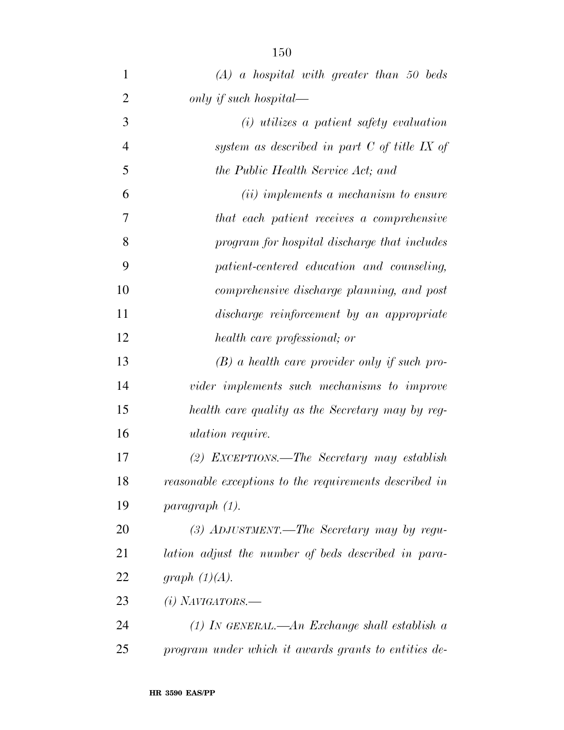| $\mathbf{1}$   | $(A)$ a hospital with greater than 50 beds             |
|----------------|--------------------------------------------------------|
| $\overline{2}$ | only if such hospital—                                 |
| 3              | $(i)$ utilizes a patient safety evaluation             |
| $\overline{4}$ | system as described in part $C$ of title IX of         |
| 5              | the Public Health Service Act; and                     |
| 6              | (ii) implements a mechanism to ensure                  |
| 7              | that each patient receives a comprehensive             |
| 8              | program for hospital discharge that includes           |
| 9              | patient-centered education and counseling,             |
| 10             | comprehensive discharge planning, and post             |
| 11             | discharge reinforcement by an appropriate              |
| 12             | health care professional; or                           |
| 13             | $(B)$ a health care provider only if such pro-         |
| 14             | vider implements such mechanisms to improve            |
| 15             | health care quality as the Secretary may by reg-       |
| 16             | <i>ulation require.</i>                                |
| 17             | (2) EXCEPTIONS.—The Secretary may establish            |
| 18             | reasonable exceptions to the requirements described in |
| 19             | paragnath (1).                                         |
| 20             | $(3)$ ADJUSTMENT.—The Secretary may by regu-           |
| 21             | lation adjust the number of beds described in para-    |
| 22             | graph $(1)(A)$ .                                       |
| 23             | $(i)$ NAVIGATORS.—                                     |
| 24             | (1) In GENERAL.—An Exchange shall establish a          |
| 25             | program under which it awards grants to entities de-   |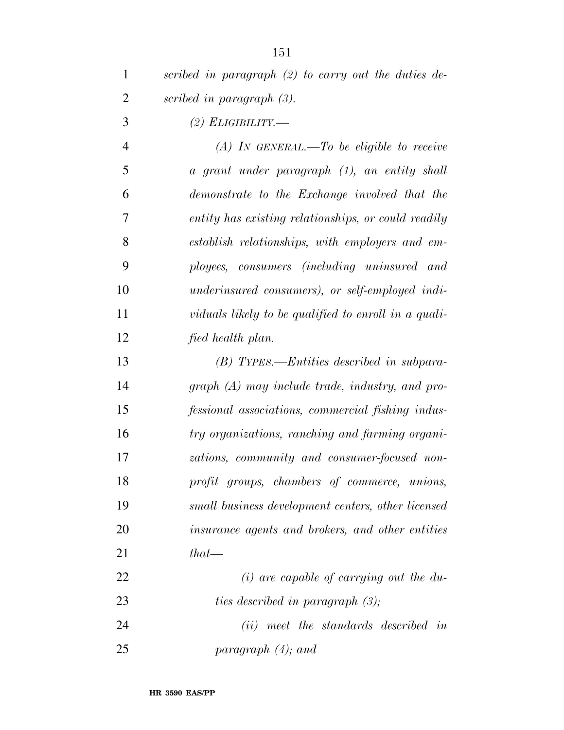| scribed in paragraph $(2)$ to carry out the duties de- |
|--------------------------------------------------------|
| scribed in paragraph $(3)$ .                           |

*(2) ELIGIBILITY.—* 

 *(A) IN GENERAL.—To be eligible to receive a grant under paragraph (1), an entity shall demonstrate to the Exchange involved that the entity has existing relationships, or could readily establish relationships, with employers and em- ployees, consumers (including uninsured and underinsured consumers), or self-employed indi- viduals likely to be qualified to enroll in a quali-fied health plan.* 

 *(B) TYPES.—Entities described in subpara- graph (A) may include trade, industry, and pro- fessional associations, commercial fishing indus- try organizations, ranching and farming organi- zations, community and consumer-focused non- profit groups, chambers of commerce, unions, small business development centers, other licensed insurance agents and brokers, and other entities that—* 

 *(i) are capable of carrying out the du-ties described in paragraph (3);* 

 *(ii) meet the standards described in paragraph (4); and*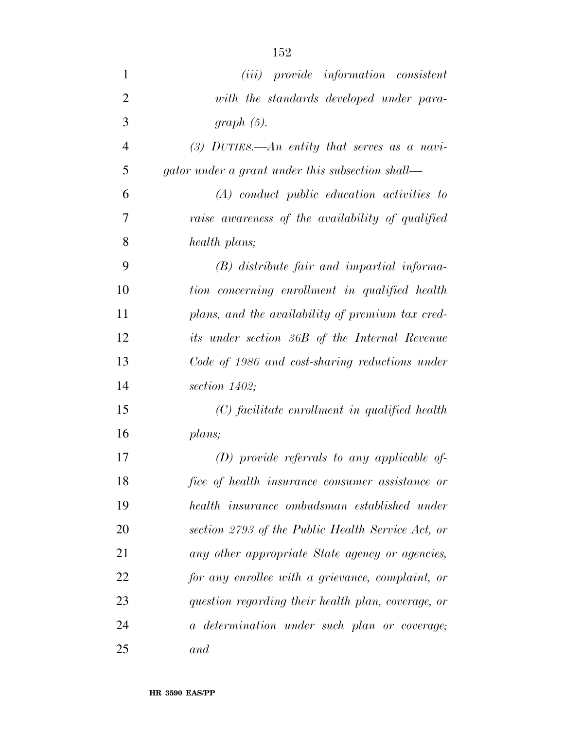| $\mathbf{1}$   | ( <i>iii</i> ) provide information consistent      |
|----------------|----------------------------------------------------|
| $\overline{2}$ | with the standards developed under para-           |
| 3              | $graph(5)$ .                                       |
| $\overline{4}$ | (3) DUTIES.—An entity that serves as a navi-       |
| 5              | gator under a grant under this subsection shall—   |
| 6              | $(A)$ conduct public education activities to       |
| 7              | raise awareness of the availability of qualified   |
| 8              | health plans;                                      |
| 9              | (B) distribute fair and impartial informa-         |
| 10             | tion concerning enrollment in qualified health     |
| 11             | plans, and the availability of premium tax cred-   |
| 12             | its under section 36B of the Internal Revenue      |
| 13             | Code of 1986 and cost-sharing reductions under     |
| 14             | section $1402$ ;                                   |
| 15             | (C) facilitate enrollment in qualified health      |
| 16             | plans;                                             |
| 17             | $(D)$ provide referrals to any applicable of-      |
| 18             | fice of health insurance consumer assistance or    |
| 19             | health insurance ombudsman established under       |
| 20             | section 2793 of the Public Health Service Act, or  |
| 21             | any other appropriate State agency or agencies,    |
| 22             | for any enrollee with a grievance, complaint, or   |
| 23             | question regarding their health plan, coverage, or |
| 24             | a determination under such plan or coverage;       |
| 25             | and                                                |